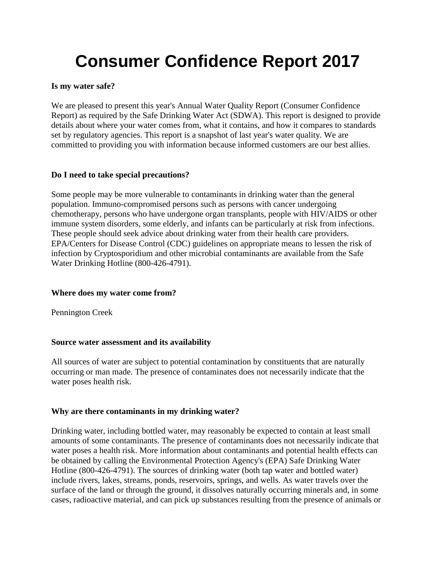# **Consumer Confidence Report 2017**

#### **Is my water safe?**

We are pleased to present this year's Annual Water Quality Report (Consumer Confidence Report) as required by the Safe Drinking Water Act (SDWA). This report is designed to provide details about where your water comes from, what it contains, and how it compares to standards set by regulatory agencies. This report is a snapshot of last year's water quality. We are committed to providing you with information because informed customers are our best allies.

#### **Do I need to take special precautions?**

Some people may be more vulnerable to contaminants in drinking water than the general population. Immuno-compromised persons such as persons with cancer undergoing chemotherapy, persons who have undergone organ transplants, people with HIV/AIDS or other immune system disorders, some elderly, and infants can be particularly at risk from infections. These people should seek advice about drinking water from their health care providers. EPA/Centers for Disease Control (CDC) guidelines on appropriate means to lessen the risk of infection by Cryptosporidium and other microbial contaminants are available from the Safe Water Drinking Hotline (800-426-4791).

#### **Where does my water come from?**

Pennington Creek

#### **Source water assessment and its availability**

All sources of water are subject to potential contamination by constituents that are naturally occurring or man made. The presence of contaminates does not necessarily indicate that the water poses health risk.

#### **Why are there contaminants in my drinking water?**

Drinking water, including bottled water, may reasonably be expected to contain at least small amounts of some contaminants. The presence of contaminants does not necessarily indicate that water poses a health risk. More information about contaminants and potential health effects can be obtained by calling the Environmental Protection Agency's (EPA) Safe Drinking Water Hotline (800-426-4791). The sources of drinking water (both tap water and bottled water) include rivers, lakes, streams, ponds, reservoirs, springs, and wells. As water travels over the surface of the land or through the ground, it dissolves naturally occurring minerals and, in some cases, radioactive material, and can pick up substances resulting from the presence of animals or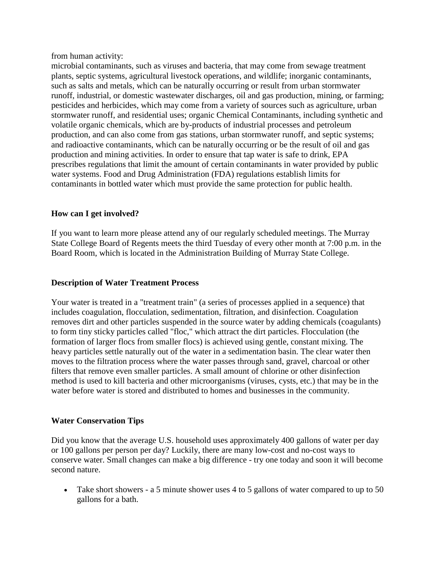from human activity:

microbial contaminants, such as viruses and bacteria, that may come from sewage treatment plants, septic systems, agricultural livestock operations, and wildlife; inorganic contaminants, such as salts and metals, which can be naturally occurring or result from urban stormwater runoff, industrial, or domestic wastewater discharges, oil and gas production, mining, or farming; pesticides and herbicides, which may come from a variety of sources such as agriculture, urban stormwater runoff, and residential uses; organic Chemical Contaminants, including synthetic and volatile organic chemicals, which are by-products of industrial processes and petroleum production, and can also come from gas stations, urban stormwater runoff, and septic systems; and radioactive contaminants, which can be naturally occurring or be the result of oil and gas production and mining activities. In order to ensure that tap water is safe to drink, EPA prescribes regulations that limit the amount of certain contaminants in water provided by public water systems. Food and Drug Administration (FDA) regulations establish limits for contaminants in bottled water which must provide the same protection for public health.

#### **How can I get involved?**

If you want to learn more please attend any of our regularly scheduled meetings. The Murray State College Board of Regents meets the third Tuesday of every other month at 7:00 p.m. in the Board Room, which is located in the Administration Building of Murray State College.

#### **Description of Water Treatment Process**

Your water is treated in a "treatment train" (a series of processes applied in a sequence) that includes coagulation, flocculation, sedimentation, filtration, and disinfection. Coagulation removes dirt and other particles suspended in the source water by adding chemicals (coagulants) to form tiny sticky particles called "floc," which attract the dirt particles. Flocculation (the formation of larger flocs from smaller flocs) is achieved using gentle, constant mixing. The heavy particles settle naturally out of the water in a sedimentation basin. The clear water then moves to the filtration process where the water passes through sand, gravel, charcoal or other filters that remove even smaller particles. A small amount of chlorine or other disinfection method is used to kill bacteria and other microorganisms (viruses, cysts, etc.) that may be in the water before water is stored and distributed to homes and businesses in the community.

#### **Water Conservation Tips**

Did you know that the average U.S. household uses approximately 400 gallons of water per day or 100 gallons per person per day? Luckily, there are many low-cost and no-cost ways to conserve water. Small changes can make a big difference - try one today and soon it will become second nature.

• Take short showers - a 5 minute shower uses 4 to 5 gallons of water compared to up to 50 gallons for a bath.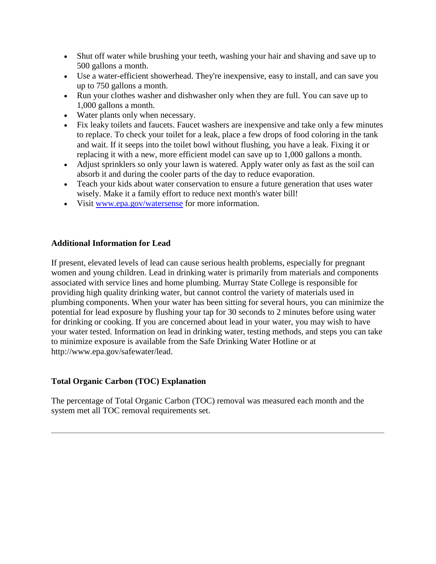- Shut off water while brushing your teeth, washing your hair and shaving and save up to 500 gallons a month.
- Use a water-efficient showerhead. They're inexpensive, easy to install, and can save you up to 750 gallons a month.
- Run your clothes washer and dishwasher only when they are full. You can save up to 1,000 gallons a month.
- Water plants only when necessary.
- Fix leaky toilets and faucets. Faucet washers are inexpensive and take only a few minutes to replace. To check your toilet for a leak, place a few drops of food coloring in the tank and wait. If it seeps into the toilet bowl without flushing, you have a leak. Fixing it or replacing it with a new, more efficient model can save up to 1,000 gallons a month.
- Adjust sprinklers so only your lawn is watered. Apply water only as fast as the soil can absorb it and during the cooler parts of the day to reduce evaporation.
- Teach your kids about water conservation to ensure a future generation that uses water wisely. Make it a family effort to reduce next month's water bill!
- Visit [www.epa.gov/watersense](http://www.epa.gov/watersense) for more information.

#### **Additional Information for Lead**

If present, elevated levels of lead can cause serious health problems, especially for pregnant women and young children. Lead in drinking water is primarily from materials and components associated with service lines and home plumbing. Murray State College is responsible for providing high quality drinking water, but cannot control the variety of materials used in plumbing components. When your water has been sitting for several hours, you can minimize the potential for lead exposure by flushing your tap for 30 seconds to 2 minutes before using water for drinking or cooking. If you are concerned about lead in your water, you may wish to have your water tested. Information on lead in drinking water, testing methods, and steps you can take to minimize exposure is available from the Safe Drinking Water Hotline or at http://www.epa.gov/safewater/lead.

#### **Total Organic Carbon (TOC) Explanation**

The percentage of Total Organic Carbon (TOC) removal was measured each month and the system met all TOC removal requirements set.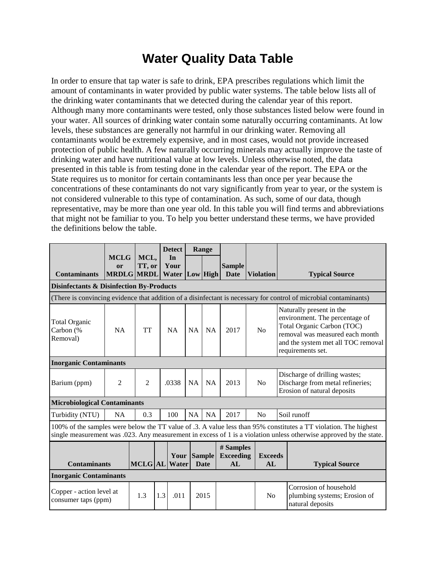### **Water Quality Data Table**

In order to ensure that tap water is safe to drink, EPA prescribes regulations which limit the amount of contaminants in water provided by public water systems. The table below lists all of the drinking water contaminants that we detected during the calendar year of this report. Although many more contaminants were tested, only those substances listed below were found in your water. All sources of drinking water contain some naturally occurring contaminants. At low levels, these substances are generally not harmful in our drinking water. Removing all contaminants would be extremely expensive, and in most cases, would not provide increased protection of public health. A few naturally occurring minerals may actually improve the taste of drinking water and have nutritional value at low levels. Unless otherwise noted, the data presented in this table is from testing done in the calendar year of the report. The EPA or the State requires us to monitor for certain contaminants less than once per year because the concentrations of these contaminants do not vary significantly from year to year, or the system is not considered vulnerable to this type of contamination. As such, some of our data, though representative, may be more than one year old. In this table you will find terms and abbreviations that might not be familiar to you. To help you better understand these terms, we have provided the definitions below the table.

|                                                                                                                                                                                                                                        |                                                   |                |     | <b>Detect</b>        |           | Range                  |                                     |                      |             |                                                                                                                                                                                        |
|----------------------------------------------------------------------------------------------------------------------------------------------------------------------------------------------------------------------------------------|---------------------------------------------------|----------------|-----|----------------------|-----------|------------------------|-------------------------------------|----------------------|-------------|----------------------------------------------------------------------------------------------------------------------------------------------------------------------------------------|
| <b>Contaminants</b>                                                                                                                                                                                                                    | <b>MCLG</b><br><sub>or</sub><br><b>MRDLG MRDL</b> | MCL,<br>TT, or |     | In<br>Your<br>Water  |           | Low High               | <b>Sample</b><br><b>Date</b>        | <b>Violation</b>     |             | <b>Typical Source</b>                                                                                                                                                                  |
| <b>Disinfectants &amp; Disinfection By-Products</b>                                                                                                                                                                                    |                                                   |                |     |                      |           |                        |                                     |                      |             |                                                                                                                                                                                        |
|                                                                                                                                                                                                                                        |                                                   |                |     |                      |           |                        |                                     |                      |             | (There is convincing evidence that addition of a disinfectant is necessary for control of microbial contaminants)                                                                      |
| <b>Total Organic</b><br>Carbon (%<br>Removal)                                                                                                                                                                                          | <b>NA</b>                                         | <b>TT</b>      |     | <b>NA</b>            | <b>NA</b> | <b>NA</b>              | 2017                                | No                   |             | Naturally present in the<br>environment. The percentage of<br>Total Organic Carbon (TOC)<br>removal was measured each month<br>and the system met all TOC removal<br>requirements set. |
| <b>Inorganic Contaminants</b>                                                                                                                                                                                                          |                                                   |                |     |                      |           |                        |                                     |                      |             |                                                                                                                                                                                        |
| Barium (ppm)                                                                                                                                                                                                                           | 2                                                 |                |     | .0338                | NA        | <b>NA</b>              | 2013                                | No                   |             | Discharge of drilling wastes;<br>Discharge from metal refineries;<br>Erosion of natural deposits                                                                                       |
| <b>Microbiological Contaminants</b>                                                                                                                                                                                                    |                                                   |                |     |                      |           |                        |                                     |                      |             |                                                                                                                                                                                        |
| Turbidity (NTU)                                                                                                                                                                                                                        | 0.3<br>NA                                         |                |     | 100                  |           | <b>NA</b><br><b>NA</b> | 2017                                | No                   | Soil runoff |                                                                                                                                                                                        |
| 100% of the samples were below the TT value of .3. A value less than 95% constitutes a TT violation. The highest<br>single measurement was .023. Any measurement in excess of 1 is a violation unless otherwise approved by the state. |                                                   |                |     |                      |           |                        |                                     |                      |             |                                                                                                                                                                                        |
| <b>Contaminants</b>                                                                                                                                                                                                                    |                                                   | <b>MCLG AL</b> |     | Your Sample<br>Water |           | <b>Date</b>            | # Samples<br><b>Exceeding</b><br>AL | <b>Exceeds</b><br>AL |             | <b>Typical Source</b>                                                                                                                                                                  |
| <b>Inorganic Contaminants</b>                                                                                                                                                                                                          |                                                   |                |     |                      |           |                        |                                     |                      |             |                                                                                                                                                                                        |
| Copper - action level at<br>consumer taps (ppm)                                                                                                                                                                                        |                                                   | 1.3            | 1.3 | .011                 |           | 2015                   |                                     | N <sub>0</sub>       |             | Corrosion of household<br>plumbing systems; Erosion of<br>natural deposits                                                                                                             |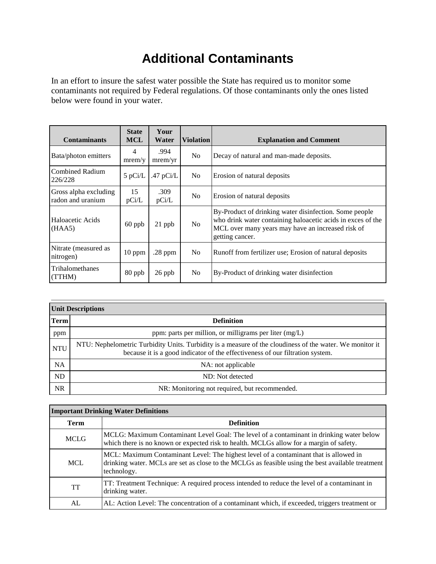## **Additional Contaminants**

In an effort to insure the safest water possible the State has required us to monitor some contaminants not required by Federal regulations. Of those contaminants only the ones listed below were found in your water.

| <b>Contaminants</b>                                       | <b>State</b><br><b>MCL</b> | Your<br>Water   | <b>Violation</b> | <b>Explanation and Comment</b>                                                                                                                                                                |  |  |
|-----------------------------------------------------------|----------------------------|-----------------|------------------|-----------------------------------------------------------------------------------------------------------------------------------------------------------------------------------------------|--|--|
| 4<br>Bata/photon emitters<br>mrem/y                       |                            | .994<br>mrem/yr | N <sub>o</sub>   | Decay of natural and man-made deposits.                                                                                                                                                       |  |  |
| <b>Combined Radium</b><br>$5$ pCi/L<br>226/228            |                            | .47 $pCi/L$     | N <sub>0</sub>   | Erosion of natural deposits                                                                                                                                                                   |  |  |
| 15<br>Gross alpha excluding<br>radon and uranium<br>pCi/L |                            | .309<br>pCi/L   | N <sub>o</sub>   | Erosion of natural deposits                                                                                                                                                                   |  |  |
| Haloacetic Acids<br>(HAA5)                                | $60$ ppb                   | $21$ ppb        | N <sub>o</sub>   | By-Product of drinking water disinfection. Some people<br>who drink water containing haloacetic acids in exces of the<br>MCL over many years may have an increased risk of<br>getting cancer. |  |  |
| Nitrate (measured as<br>nitrogen)                         | $10$ ppm                   | $.28$ ppm       | N <sub>0</sub>   | Runoff from fertilizer use; Erosion of natural deposits                                                                                                                                       |  |  |
| Trihalomethanes<br>80 ppb<br>(TTHM)                       |                            | $26$ ppb        | N <sub>o</sub>   | By-Product of drinking water disinfection                                                                                                                                                     |  |  |

| <b>Unit Descriptions</b> |                                                                                                                                                                                           |  |  |  |  |
|--------------------------|-------------------------------------------------------------------------------------------------------------------------------------------------------------------------------------------|--|--|--|--|
| <b>Term</b>              | <b>Definition</b>                                                                                                                                                                         |  |  |  |  |
| ppm                      | ppm: parts per million, or milligrams per liter $(mg/L)$                                                                                                                                  |  |  |  |  |
| <b>NTU</b>               | NTU: Nephelometric Turbidity Units. Turbidity is a measure of the cloudiness of the water. We monitor it<br>because it is a good indicator of the effectiveness of our filtration system. |  |  |  |  |
| <b>NA</b>                | NA: not applicable                                                                                                                                                                        |  |  |  |  |
| ND                       | ND: Not detected                                                                                                                                                                          |  |  |  |  |
| <b>NR</b>                | NR: Monitoring not required, but recommended.                                                                                                                                             |  |  |  |  |

| <b>Important Drinking Water Definitions</b> |                                                                                                                                                                                                           |  |  |  |
|---------------------------------------------|-----------------------------------------------------------------------------------------------------------------------------------------------------------------------------------------------------------|--|--|--|
| Term                                        | <b>Definition</b>                                                                                                                                                                                         |  |  |  |
| <b>MCLG</b>                                 | MCLG: Maximum Contaminant Level Goal: The level of a contaminant in drinking water below<br>which there is no known or expected risk to health. MCLGs allow for a margin of safety.                       |  |  |  |
| MCL                                         | MCL: Maximum Contaminant Level: The highest level of a contaminant that is allowed in<br>drinking water. MCLs are set as close to the MCLGs as feasible using the best available treatment<br>technology. |  |  |  |
| <b>TT</b>                                   | TT: Treatment Technique: A required process intended to reduce the level of a contaminant in<br>drinking water.                                                                                           |  |  |  |
| AL                                          | AL: Action Level: The concentration of a contaminant which, if exceeded, triggers treatment or                                                                                                            |  |  |  |